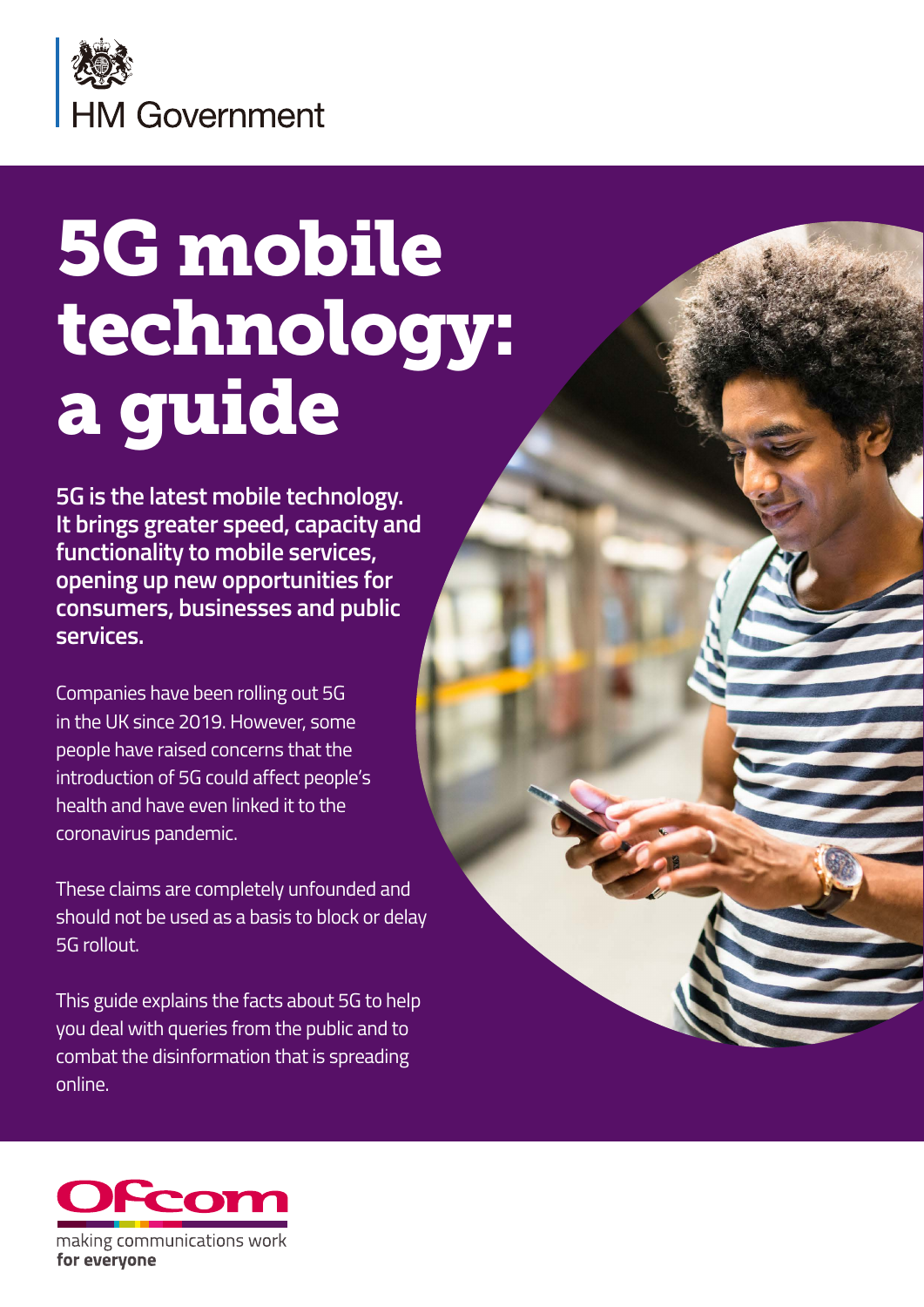

# 5G mobile technology: a guide

**5G is the latest mobile technology. It brings greater speed, capacity and functionality to mobile services, opening up new opportunities for consumers, businesses and public services.**

Companies have been rolling out 5G in the UK since 2019. However, some people have raised concerns that the introduction of 5G could affect people's health and have even linked it to the coronavirus pandemic.

These claims are completely unfounded and should not be used as a basis to block or delay 5G rollout.

This guide explains the facts about 5G to help you deal with queries from the public and to combat the disinformation that is spreading online.

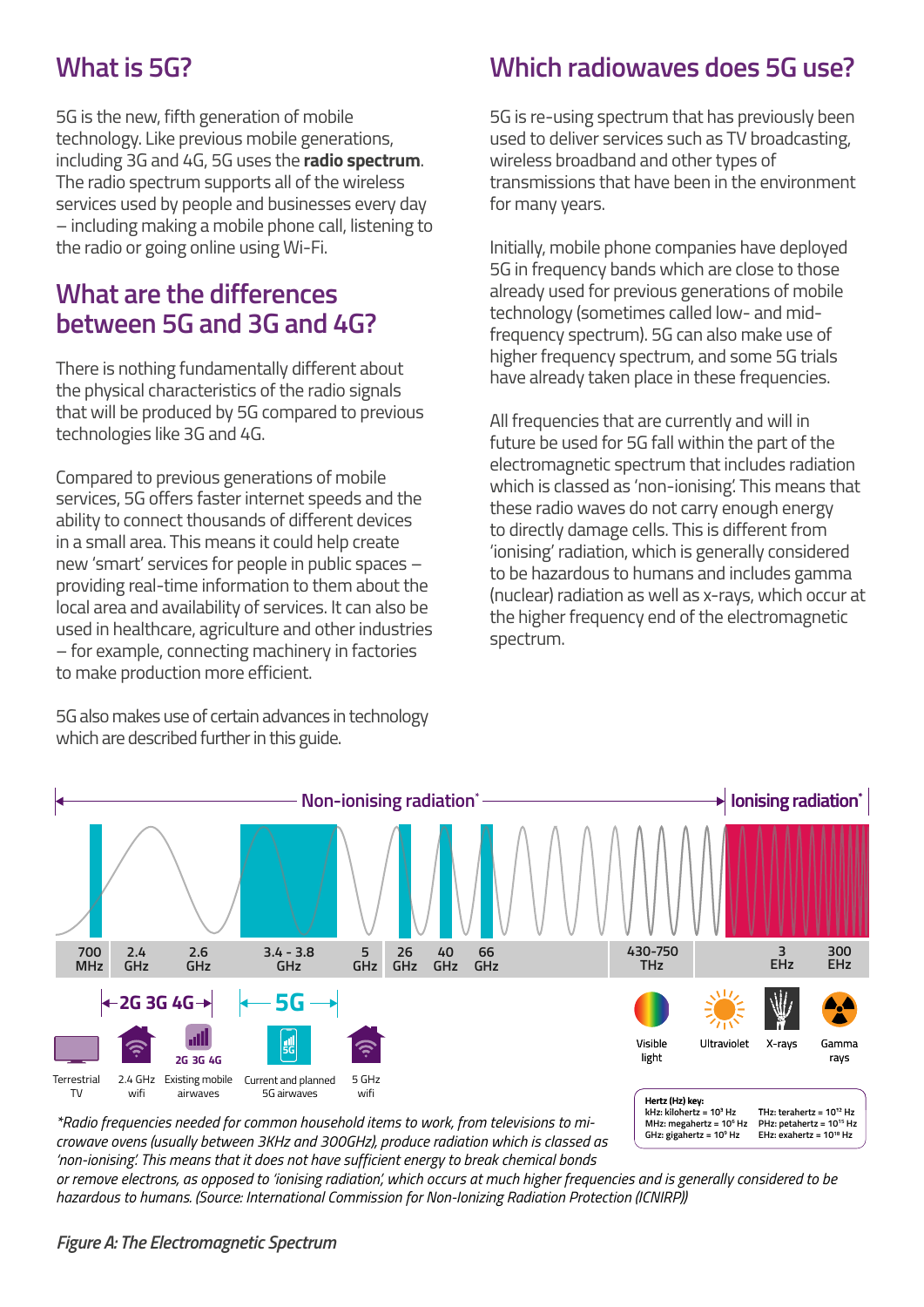# **What is 5G?**

5G is the new, fifth generation of mobile technology. Like previous mobile generations, including 3G and 4G, 5G uses the **radio spectrum**. The radio spectrum supports all of the wireless services used by people and businesses every day – including making a mobile phone call, listening to the radio or going online using Wi-Fi.

## **What are the differences between 5G and 3G and 4G?**

There is nothing fundamentally different about the physical characteristics of the radio signals that will be produced by 5G compared to previous technologies like 3G and 4G.

Compared to previous generations of mobile services, 5G offers faster internet speeds and the ability to connect thousands of different devices in a small area. This means it could help create new 'smart' services for people in public spaces – providing real-time information to them about the local area and availability of services. It can also be used in healthcare, agriculture and other industries – for example, connecting machinery in factories to make production more efficient.

5G also makes use of certain advances in technology which are described further in this guide.<br>**The Electromagnetic Species Species Species** 

# **Which radiowaves does 5G use?**

5G is re-using spectrum that has previously been used to deliver services such as TV broadcasting, wireless broadband and other types of transmissions that have been in the environment for many years.

Initially, mobile phone companies have deployed 5G in frequency bands which are close to those already used for previous generations of mobile technology (sometimes called low- and midfrequency spectrum). 5G can also make use of higher frequency spectrum, and some 5G trials have already taken place in these frequencies.

All frequencies that are currently and will in future be used for 5G fall within the part of the electromagnetic spectrum that includes radiation which is classed as 'non-ionising'. This means that these radio waves do not carry enough energy to directly damage cells. This is different from 'ionising' radiation, which is generally considered to be hazardous to humans and includes gamma (nuclear) radiation as well as x-rays, which occur at the higher frequency end of the electromagnetic spectrum.

> **MHz: megahertz = 106 Hz GHz: gigahertz = 109 Hz**

**PHz: petahertz = 1015 Hz EHz: exahertz = 1018 Hz**



\*Radio frequencies needed for common household items to work, from televisions to microwave ovens (usually between 3KHz and 300GHz), produce radiation which is classed as *'non-ionising'. This means that it does not have sufficient energy to break chemical bonds* 

*or remove electrons, as opposed to 'ionising radiation', which occurs at much higher frequencies and is generally considered to be hazardous to humans. (Source: International Commission for Non-Ionizing Radiation Protection (ICNIRP))*

#### *Figure A: The Electromagnetic Spectrum*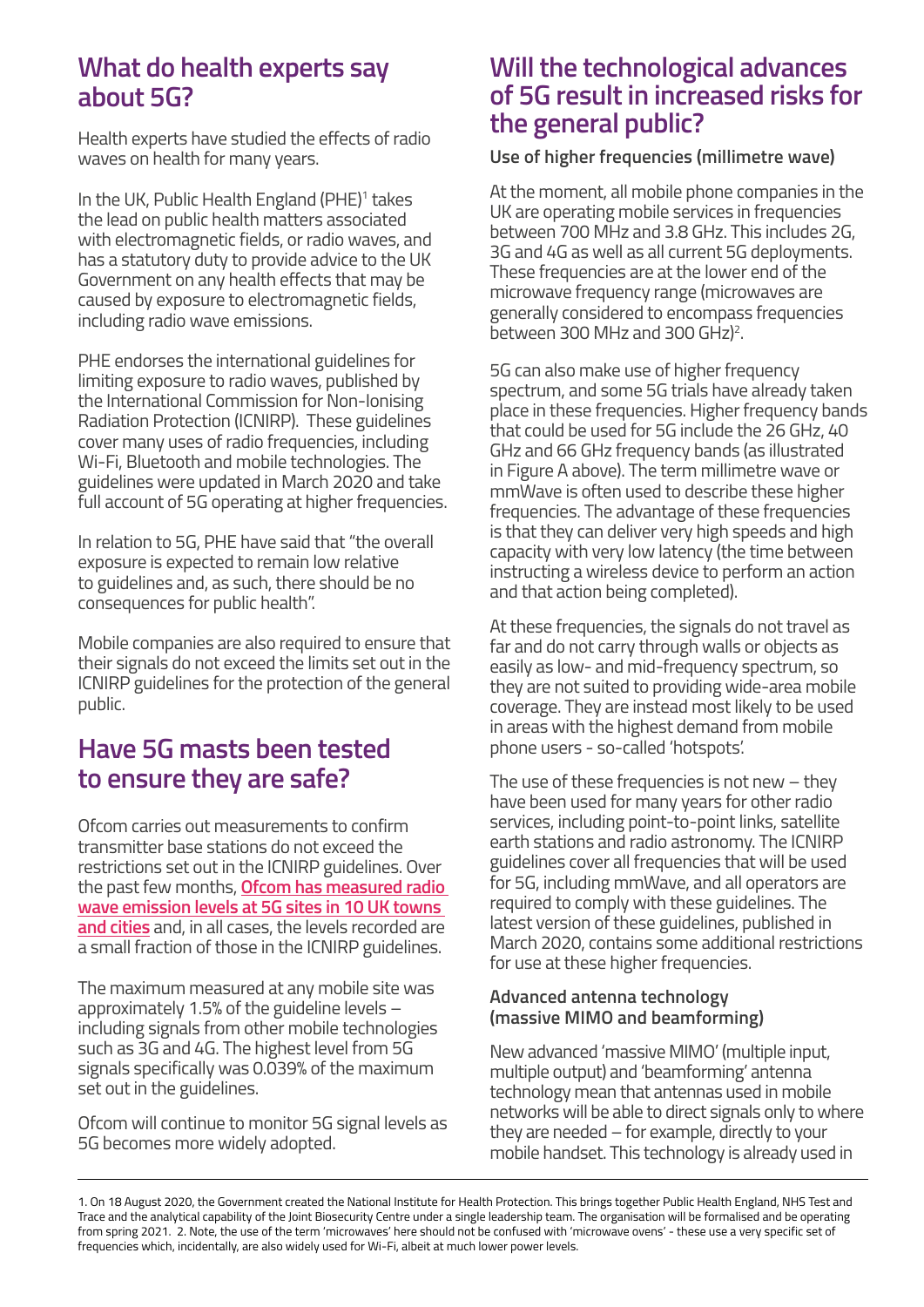## **What do health experts say about 5G?**

Health experts have studied the effects of radio waves on health for many years.

In the UK, Public Health England (PHE)<sup>1</sup> takes the lead on public health matters associated with electromagnetic fields, or radio waves, and has a statutory duty to provide advice to the UK Government on any health effects that may be caused by exposure to electromagnetic fields, including radio wave emissions.

PHE endorses the international guidelines for limiting exposure to radio waves, published by the International Commission for Non-Ionising Radiation Protection (ICNIRP). These guidelines cover many uses of radio frequencies, including Wi-Fi, Bluetooth and mobile technologies. The guidelines were updated in March 2020 and take full account of 5G operating at higher frequencies.

In relation to 5G, PHE have said that "the overall exposure is expected to remain low relative to guidelines and, as such, there should be no consequences for public health".

Mobile companies are also required to ensure that their signals do not exceed the limits set out in the ICNIRP guidelines for the protection of the general public.

## **Have 5G masts been tested to ensure they are safe?**

Ofcom carries out measurements to confirm transmitter base stations do not exceed the restrictions set out in the ICNIRP guidelines. Over the past few months, **[Ofcom has measured radio](https://www.ofcom.org.uk/spectrum/information/mobile-operational-enquiries/mobile-base-station-audits/2020)  [wave emission levels at 5G sites in 10 UK towns](https://www.ofcom.org.uk/spectrum/information/mobile-operational-enquiries/mobile-base-station-audits/2020)  [and cities](https://www.ofcom.org.uk/spectrum/information/mobile-operational-enquiries/mobile-base-station-audits/2020)** and, in all cases, the levels recorded are a small fraction of those in the ICNIRP guidelines.

The maximum measured at any mobile site was approximately 1.5% of the guideline levels – including signals from other mobile technologies such as 3G and 4G. The highest level from 5G signals specifically was 0.039% of the maximum set out in the guidelines.

Ofcom will continue to monitor 5G signal levels as 5G becomes more widely adopted.

#### **Will the technological advances of 5G result in increased risks for the general public?**

#### **Use of higher frequencies (millimetre wave)**

At the moment, all mobile phone companies in the UK are operating mobile services in frequencies between 700 MHz and 3.8 GHz. This includes 2G, 3G and 4G as well as all current 5G deployments. These frequencies are at the lower end of the microwave frequency range (microwaves are generally considered to encompass frequencies between 300 MHz and 300 GHz)<sup>2</sup>.

5G can also make use of higher frequency spectrum, and some 5G trials have already taken place in these frequencies. Higher frequency bands that could be used for 5G include the 26 GHz, 40 GHz and 66 GHz frequency bands (as illustrated in Figure A above). The term millimetre wave or mmWave is often used to describe these higher frequencies. The advantage of these frequencies is that they can deliver very high speeds and high capacity with very low latency (the time between instructing a wireless device to perform an action and that action being completed).

At these frequencies, the signals do not travel as far and do not carry through walls or objects as easily as low- and mid-frequency spectrum, so they are not suited to providing wide-area mobile coverage. They are instead most likely to be used in areas with the highest demand from mobile phone users - so-called 'hotspots'.

The use of these frequencies is not new  $-$  they have been used for many years for other radio services, including point-to-point links, satellite earth stations and radio astronomy. The ICNIRP guidelines cover all frequencies that will be used for 5G, including mmWave, and all operators are required to comply with these guidelines. The latest version of these guidelines, published in March 2020, contains some additional restrictions for use at these higher frequencies.

#### **Advanced antenna technology (massive MIMO and beamforming)**

New advanced 'massive MIMO' (multiple input, multiple output) and 'beamforming' antenna technology mean that antennas used in mobile networks will be able to direct signals only to where they are needed – for example, directly to your mobile handset. This technology is already used in

<sup>1.</sup> On 18 August 2020, the Government created the National Institute for Health Protection. This brings together Public Health England, NHS Test and Trace and the analytical capability of the Joint Biosecurity Centre under a single leadership team. The organisation will be formalised and be operating from spring 2021. 2. Note, the use of the term 'microwaves' here should not be confused with 'microwave ovens' - these use a very specific set of frequencies which, incidentally, are also widely used for Wi-Fi, albeit at much lower power levels.